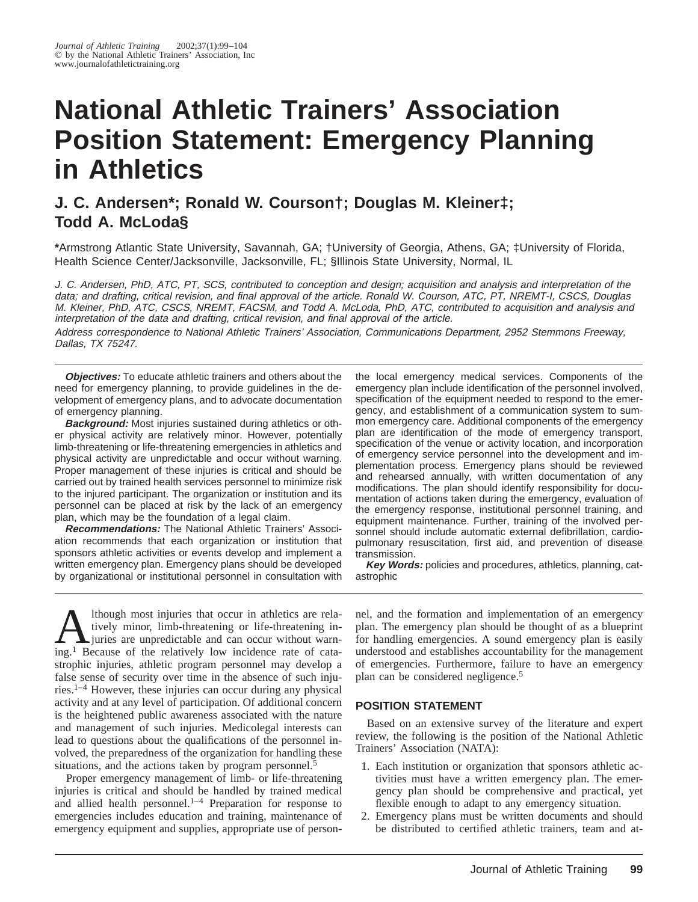# **National Athletic Trainers' Association Position Statement: Emergency Planning in Athletics**

## **J. C. Andersen\*; Ronald W. Courson†; Douglas M. Kleiner‡; Todd A. McLoda§**

**\***Armstrong Atlantic State University, Savannah, GA; †University of Georgia, Athens, GA; ‡University of Florida, Health Science Center/Jacksonville, Jacksonville, FL; §Illinois State University, Normal, IL

J. C. Andersen, PhD, ATC, PT, SCS, contributed to conception and design; acquisition and analysis and interpretation of the data; and drafting, critical revision, and final approval of the article. Ronald W. Courson, ATC, PT, NREMT-I, CSCS, Douglas M. Kleiner, PhD, ATC, CSCS, NREMT, FACSM, and Todd A. McLoda, PhD, ATC, contributed to acquisition and analysis and interpretation of the data and drafting, critical revision, and final approval of the article.

Address correspondence to National Athletic Trainers' Association, Communications Department, 2952 Stemmons Freeway, Dallas, TX 75247.

**Objectives:** To educate athletic trainers and others about the need for emergency planning, to provide guidelines in the development of emergency plans, and to advocate documentation of emergency planning.

**Background:** Most injuries sustained during athletics or other physical activity are relatively minor. However, potentially limb-threatening or life-threatening emergencies in athletics and physical activity are unpredictable and occur without warning. Proper management of these injuries is critical and should be carried out by trained health services personnel to minimize risk to the injured participant. The organization or institution and its personnel can be placed at risk by the lack of an emergency plan, which may be the foundation of a legal claim.

**Recommendations:** The National Athletic Trainers' Association recommends that each organization or institution that sponsors athletic activities or events develop and implement a written emergency plan. Emergency plans should be developed by organizational or institutional personnel in consultation with the local emergency medical services. Components of the emergency plan include identification of the personnel involved, specification of the equipment needed to respond to the emergency, and establishment of a communication system to summon emergency care. Additional components of the emergency plan are identification of the mode of emergency transport, specification of the venue or activity location, and incorporation of emergency service personnel into the development and implementation process. Emergency plans should be reviewed and rehearsed annually, with written documentation of any modifications. The plan should identify responsibility for documentation of actions taken during the emergency, evaluation of the emergency response, institutional personnel training, and equipment maintenance. Further, training of the involved personnel should include automatic external defibrillation, cardiopulmonary resuscitation, first aid, and prevention of disease transmission.

**Key Words:** policies and procedures, athletics, planning, catastrophic

Ithough most injuries that occur in athletics are rela-<br>tively minor, limb-threatening or life-threatening in-<br>juries are unpredictable and can occur without warn-<br>ing <sup>1</sup> Because of the relatively low incidence rate of ca tively minor, limb-threatening or life-threatening ining.1 Because of the relatively low incidence rate of catastrophic injuries, athletic program personnel may develop a false sense of security over time in the absence of such injuries.1–4 However, these injuries can occur during any physical activity and at any level of participation. Of additional concern is the heightened public awareness associated with the nature and management of such injuries. Medicolegal interests can lead to questions about the qualifications of the personnel involved, the preparedness of the organization for handling these situations, and the actions taken by program personnel.<sup>5</sup>

Proper emergency management of limb- or life-threatening injuries is critical and should be handled by trained medical and allied health personnel. $1-4$  Preparation for response to emergencies includes education and training, maintenance of emergency equipment and supplies, appropriate use of personnel, and the formation and implementation of an emergency plan. The emergency plan should be thought of as a blueprint for handling emergencies. A sound emergency plan is easily understood and establishes accountability for the management of emergencies. Furthermore, failure to have an emergency plan can be considered negligence.5

### **POSITION STATEMENT**

Based on an extensive survey of the literature and expert review, the following is the position of the National Athletic Trainers' Association (NATA):

- 1. Each institution or organization that sponsors athletic activities must have a written emergency plan. The emergency plan should be comprehensive and practical, yet flexible enough to adapt to any emergency situation.
- 2. Emergency plans must be written documents and should be distributed to certified athletic trainers, team and at-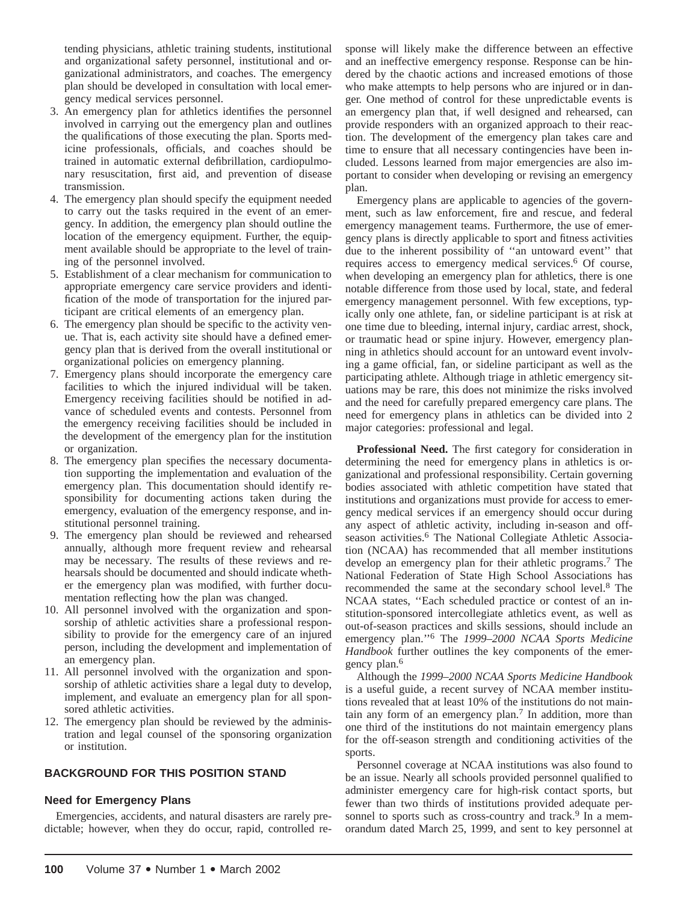tending physicians, athletic training students, institutional and organizational safety personnel, institutional and organizational administrators, and coaches. The emergency plan should be developed in consultation with local emergency medical services personnel.

- 3. An emergency plan for athletics identifies the personnel involved in carrying out the emergency plan and outlines the qualifications of those executing the plan. Sports medicine professionals, officials, and coaches should be trained in automatic external defibrillation, cardiopulmonary resuscitation, first aid, and prevention of disease transmission.
- 4. The emergency plan should specify the equipment needed to carry out the tasks required in the event of an emergency. In addition, the emergency plan should outline the location of the emergency equipment. Further, the equipment available should be appropriate to the level of training of the personnel involved.
- 5. Establishment of a clear mechanism for communication to appropriate emergency care service providers and identification of the mode of transportation for the injured participant are critical elements of an emergency plan.
- 6. The emergency plan should be specific to the activity venue. That is, each activity site should have a defined emergency plan that is derived from the overall institutional or organizational policies on emergency planning.
- 7. Emergency plans should incorporate the emergency care facilities to which the injured individual will be taken. Emergency receiving facilities should be notified in advance of scheduled events and contests. Personnel from the emergency receiving facilities should be included in the development of the emergency plan for the institution or organization.
- 8. The emergency plan specifies the necessary documentation supporting the implementation and evaluation of the emergency plan. This documentation should identify responsibility for documenting actions taken during the emergency, evaluation of the emergency response, and institutional personnel training.
- 9. The emergency plan should be reviewed and rehearsed annually, although more frequent review and rehearsal may be necessary. The results of these reviews and rehearsals should be documented and should indicate whether the emergency plan was modified, with further documentation reflecting how the plan was changed.
- 10. All personnel involved with the organization and sponsorship of athletic activities share a professional responsibility to provide for the emergency care of an injured person, including the development and implementation of an emergency plan.
- 11. All personnel involved with the organization and sponsorship of athletic activities share a legal duty to develop, implement, and evaluate an emergency plan for all sponsored athletic activities.
- 12. The emergency plan should be reviewed by the administration and legal counsel of the sponsoring organization or institution.

### **BACKGROUND FOR THIS POSITION STAND**

### **Need for Emergency Plans**

Emergencies, accidents, and natural disasters are rarely predictable; however, when they do occur, rapid, controlled response will likely make the difference between an effective and an ineffective emergency response. Response can be hindered by the chaotic actions and increased emotions of those who make attempts to help persons who are injured or in danger. One method of control for these unpredictable events is an emergency plan that, if well designed and rehearsed, can provide responders with an organized approach to their reaction. The development of the emergency plan takes care and time to ensure that all necessary contingencies have been included. Lessons learned from major emergencies are also important to consider when developing or revising an emergency plan.

Emergency plans are applicable to agencies of the government, such as law enforcement, fire and rescue, and federal emergency management teams. Furthermore, the use of emergency plans is directly applicable to sport and fitness activities due to the inherent possibility of ''an untoward event'' that requires access to emergency medical services.<sup>6</sup> Of course, when developing an emergency plan for athletics, there is one notable difference from those used by local, state, and federal emergency management personnel. With few exceptions, typically only one athlete, fan, or sideline participant is at risk at one time due to bleeding, internal injury, cardiac arrest, shock, or traumatic head or spine injury. However, emergency planning in athletics should account for an untoward event involving a game official, fan, or sideline participant as well as the participating athlete. Although triage in athletic emergency situations may be rare, this does not minimize the risks involved and the need for carefully prepared emergency care plans. The need for emergency plans in athletics can be divided into 2 major categories: professional and legal.

**Professional Need.** The first category for consideration in determining the need for emergency plans in athletics is organizational and professional responsibility. Certain governing bodies associated with athletic competition have stated that institutions and organizations must provide for access to emergency medical services if an emergency should occur during any aspect of athletic activity, including in-season and offseason activities.<sup>6</sup> The National Collegiate Athletic Association (NCAA) has recommended that all member institutions develop an emergency plan for their athletic programs.7 The National Federation of State High School Associations has recommended the same at the secondary school level.8 The NCAA states, ''Each scheduled practice or contest of an institution-sponsored intercollegiate athletics event, as well as out-of-season practices and skills sessions, should include an emergency plan.''6 The *1999–2000 NCAA Sports Medicine Handbook* further outlines the key components of the emergency plan.6

Although the *1999–2000 NCAA Sports Medicine Handbook* is a useful guide, a recent survey of NCAA member institutions revealed that at least 10% of the institutions do not maintain any form of an emergency plan.<sup>7</sup> In addition, more than one third of the institutions do not maintain emergency plans for the off-season strength and conditioning activities of the sports.

Personnel coverage at NCAA institutions was also found to be an issue. Nearly all schools provided personnel qualified to administer emergency care for high-risk contact sports, but fewer than two thirds of institutions provided adequate personnel to sports such as cross-country and track.<sup>9</sup> In a memorandum dated March 25, 1999, and sent to key personnel at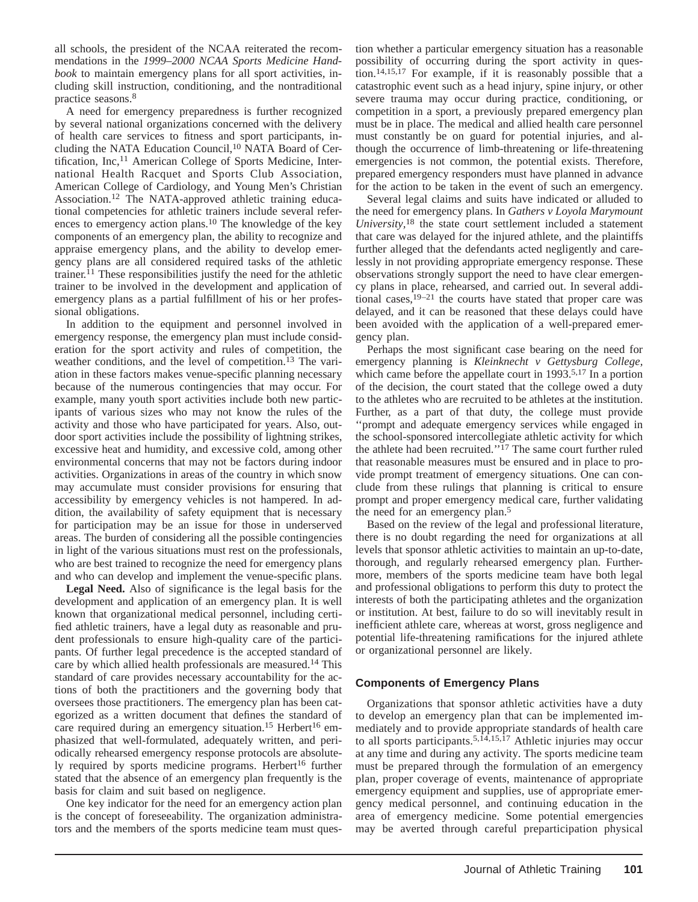all schools, the president of the NCAA reiterated the recommendations in the *1999–2000 NCAA Sports Medicine Handbook* to maintain emergency plans for all sport activities, including skill instruction, conditioning, and the nontraditional practice seasons.<sup>8</sup>

A need for emergency preparedness is further recognized by several national organizations concerned with the delivery of health care services to fitness and sport participants, including the NATA Education Council,<sup>10</sup> NATA Board of Certification, Inc,<sup>11</sup> American College of Sports Medicine, International Health Racquet and Sports Club Association, American College of Cardiology, and Young Men's Christian Association.12 The NATA-approved athletic training educational competencies for athletic trainers include several references to emergency action plans.<sup>10</sup> The knowledge of the key components of an emergency plan, the ability to recognize and appraise emergency plans, and the ability to develop emergency plans are all considered required tasks of the athletic trainer.11 These responsibilities justify the need for the athletic trainer to be involved in the development and application of emergency plans as a partial fulfillment of his or her professional obligations.

In addition to the equipment and personnel involved in emergency response, the emergency plan must include consideration for the sport activity and rules of competition, the weather conditions, and the level of competition.<sup>13</sup> The variation in these factors makes venue-specific planning necessary because of the numerous contingencies that may occur. For example, many youth sport activities include both new participants of various sizes who may not know the rules of the activity and those who have participated for years. Also, outdoor sport activities include the possibility of lightning strikes, excessive heat and humidity, and excessive cold, among other environmental concerns that may not be factors during indoor activities. Organizations in areas of the country in which snow may accumulate must consider provisions for ensuring that accessibility by emergency vehicles is not hampered. In addition, the availability of safety equipment that is necessary for participation may be an issue for those in underserved areas. The burden of considering all the possible contingencies in light of the various situations must rest on the professionals, who are best trained to recognize the need for emergency plans and who can develop and implement the venue-specific plans.

**Legal Need.** Also of significance is the legal basis for the development and application of an emergency plan. It is well known that organizational medical personnel, including certified athletic trainers, have a legal duty as reasonable and prudent professionals to ensure high-quality care of the participants. Of further legal precedence is the accepted standard of care by which allied health professionals are measured.14 This standard of care provides necessary accountability for the actions of both the practitioners and the governing body that oversees those practitioners. The emergency plan has been categorized as a written document that defines the standard of care required during an emergency situation.<sup>15</sup> Herbert<sup>16</sup> emphasized that well-formulated, adequately written, and periodically rehearsed emergency response protocols are absolutely required by sports medicine programs. Herbert<sup>16</sup> further stated that the absence of an emergency plan frequently is the basis for claim and suit based on negligence.

One key indicator for the need for an emergency action plan is the concept of foreseeability. The organization administrators and the members of the sports medicine team must question whether a particular emergency situation has a reasonable possibility of occurring during the sport activity in question.14,15,17 For example, if it is reasonably possible that a catastrophic event such as a head injury, spine injury, or other severe trauma may occur during practice, conditioning, or competition in a sport, a previously prepared emergency plan must be in place. The medical and allied health care personnel must constantly be on guard for potential injuries, and although the occurrence of limb-threatening or life-threatening emergencies is not common, the potential exists. Therefore, prepared emergency responders must have planned in advance for the action to be taken in the event of such an emergency.

Several legal claims and suits have indicated or alluded to the need for emergency plans. In *Gathers v Loyola Marymount University,*<sup>18</sup> the state court settlement included a statement that care was delayed for the injured athlete, and the plaintiffs further alleged that the defendants acted negligently and carelessly in not providing appropriate emergency response. These observations strongly support the need to have clear emergency plans in place, rehearsed, and carried out. In several additional cases,  $19-21$  the courts have stated that proper care was delayed, and it can be reasoned that these delays could have been avoided with the application of a well-prepared emergency plan.

Perhaps the most significant case bearing on the need for emergency planning is *Kleinknecht v Gettysburg College,* which came before the appellate court in 1993.<sup>5,17</sup> In a portion of the decision, the court stated that the college owed a duty to the athletes who are recruited to be athletes at the institution. Further, as a part of that duty, the college must provide ''prompt and adequate emergency services while engaged in the school-sponsored intercollegiate athletic activity for which the athlete had been recruited."<sup>17</sup> The same court further ruled that reasonable measures must be ensured and in place to provide prompt treatment of emergency situations. One can conclude from these rulings that planning is critical to ensure prompt and proper emergency medical care, further validating the need for an emergency plan.<sup>5</sup>

Based on the review of the legal and professional literature, there is no doubt regarding the need for organizations at all levels that sponsor athletic activities to maintain an up-to-date, thorough, and regularly rehearsed emergency plan. Furthermore, members of the sports medicine team have both legal and professional obligations to perform this duty to protect the interests of both the participating athletes and the organization or institution. At best, failure to do so will inevitably result in inefficient athlete care, whereas at worst, gross negligence and potential life-threatening ramifications for the injured athlete or organizational personnel are likely.

### **Components of Emergency Plans**

Organizations that sponsor athletic activities have a duty to develop an emergency plan that can be implemented immediately and to provide appropriate standards of health care to all sports participants.<sup>5,14,15,17</sup> Athletic injuries may occur at any time and during any activity. The sports medicine team must be prepared through the formulation of an emergency plan, proper coverage of events, maintenance of appropriate emergency equipment and supplies, use of appropriate emergency medical personnel, and continuing education in the area of emergency medicine. Some potential emergencies may be averted through careful preparticipation physical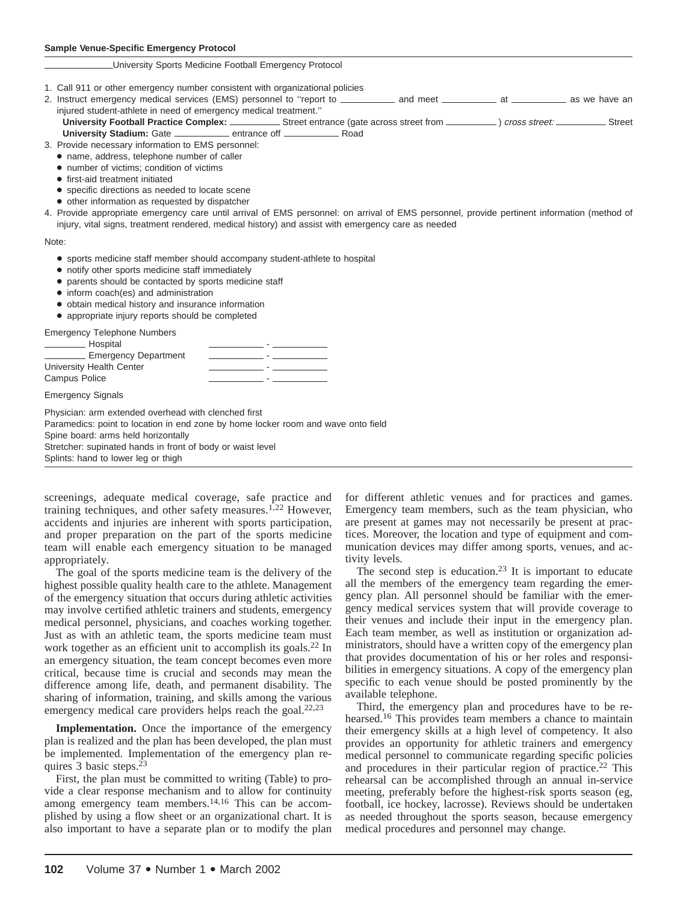#### University Sports Medicine Football Emergency Protocol

- 1. Call 911 or other emergency number consistent with organizational policies
- 2. Instruct emergency medical services (EMS) personnel to "report to \_\_\_\_\_\_\_\_\_\_\_ and meet \_\_\_\_\_\_\_\_\_\_\_\_ at \_\_\_\_\_\_\_\_\_\_ as we have an injured student-athlete in need of emergency medical treatment.''
- **University Football Practice Complex:** Street entrance (gate across street from \_\_\_\_\_\_\_\_\_\_) cross street: Street University Stadium: Gate **entrance off <u>entrance</u>** Road
- 3. Provide necessary information to EMS personnel:
	- name, address, telephone number of caller
	- number of victims; condition of victims
	- first-aid treatment initiated
	- specific directions as needed to locate scene
	- other information as requested by dispatcher
- 4. Provide appropriate emergency care until arrival of EMS personnel: on arrival of EMS personnel, provide pertinent information (method of injury, vital signs, treatment rendered, medical history) and assist with emergency care as needed

Note:

- sports medicine staff member should accompany student-athlete to hospital
- notify other sports medicine staff immediately
- parents should be contacted by sports medicine staff
- inform coach(es) and administration
- obtain medical history and insurance information
- appropriate injury reports should be completed

Emergency Telephone Numbers

| Hospital                 |  |
|--------------------------|--|
| Emergency Department     |  |
| University Health Center |  |
| Campus Police            |  |
|                          |  |

Emergency Signals

Physician: arm extended overhead with clenched first Paramedics: point to location in end zone by home locker room and wave onto field Spine board: arms held horizontally Stretcher: supinated hands in front of body or waist level Splints: hand to lower leg or thigh

screenings, adequate medical coverage, safe practice and training techniques, and other safety measures.<sup>1,22</sup> However, accidents and injuries are inherent with sports participation, and proper preparation on the part of the sports medicine team will enable each emergency situation to be managed appropriately.

The goal of the sports medicine team is the delivery of the highest possible quality health care to the athlete. Management of the emergency situation that occurs during athletic activities may involve certified athletic trainers and students, emergency medical personnel, physicians, and coaches working together. Just as with an athletic team, the sports medicine team must work together as an efficient unit to accomplish its goals.<sup>22</sup> In an emergency situation, the team concept becomes even more critical, because time is crucial and seconds may mean the difference among life, death, and permanent disability. The sharing of information, training, and skills among the various emergency medical care providers helps reach the goal.<sup>22,23</sup>

**Implementation.** Once the importance of the emergency plan is realized and the plan has been developed, the plan must be implemented. Implementation of the emergency plan requires 3 basic steps.23

First, the plan must be committed to writing (Table) to provide a clear response mechanism and to allow for continuity among emergency team members.14,16 This can be accomplished by using a flow sheet or an organizational chart. It is also important to have a separate plan or to modify the plan for different athletic venues and for practices and games. Emergency team members, such as the team physician, who are present at games may not necessarily be present at practices. Moreover, the location and type of equipment and communication devices may differ among sports, venues, and activity levels.

The second step is education.<sup>23</sup> It is important to educate all the members of the emergency team regarding the emergency plan. All personnel should be familiar with the emergency medical services system that will provide coverage to their venues and include their input in the emergency plan. Each team member, as well as institution or organization administrators, should have a written copy of the emergency plan that provides documentation of his or her roles and responsibilities in emergency situations. A copy of the emergency plan specific to each venue should be posted prominently by the available telephone.

Third, the emergency plan and procedures have to be rehearsed.<sup>16</sup> This provides team members a chance to maintain their emergency skills at a high level of competency. It also provides an opportunity for athletic trainers and emergency medical personnel to communicate regarding specific policies and procedures in their particular region of practice.<sup>22</sup> This rehearsal can be accomplished through an annual in-service meeting, preferably before the highest-risk sports season (eg, football, ice hockey, lacrosse). Reviews should be undertaken as needed throughout the sports season, because emergency medical procedures and personnel may change.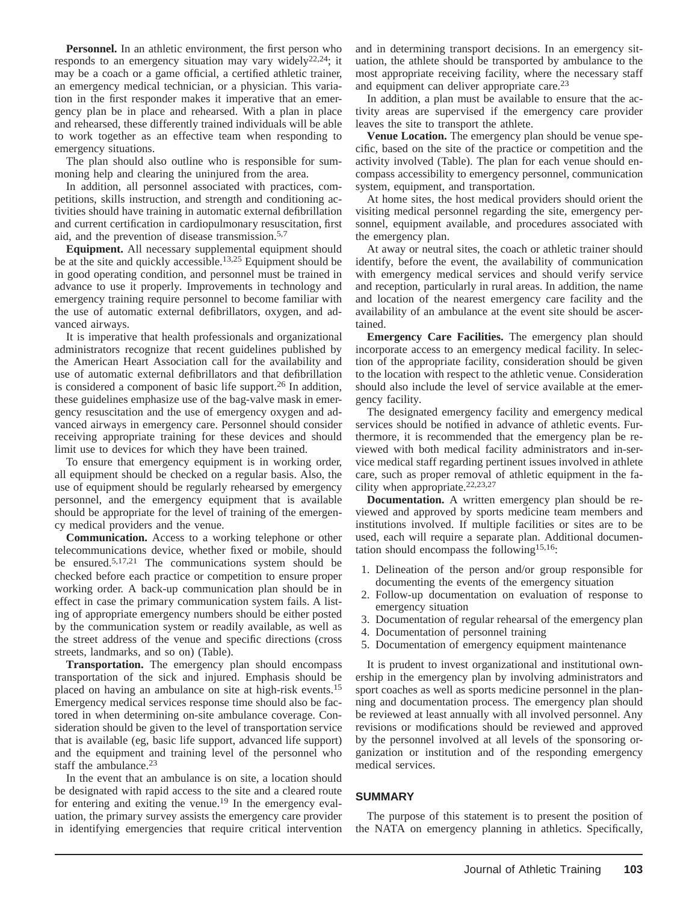**Personnel.** In an athletic environment, the first person who responds to an emergency situation may vary widely<sup>22,24</sup>; it may be a coach or a game official, a certified athletic trainer, an emergency medical technician, or a physician. This variation in the first responder makes it imperative that an emergency plan be in place and rehearsed. With a plan in place and rehearsed, these differently trained individuals will be able to work together as an effective team when responding to emergency situations.

The plan should also outline who is responsible for summoning help and clearing the uninjured from the area.

In addition, all personnel associated with practices, competitions, skills instruction, and strength and conditioning activities should have training in automatic external defibrillation and current certification in cardiopulmonary resuscitation, first aid, and the prevention of disease transmission.5,7

**Equipment.** All necessary supplemental equipment should be at the site and quickly accessible.<sup>13,25</sup> Equipment should be in good operating condition, and personnel must be trained in advance to use it properly. Improvements in technology and emergency training require personnel to become familiar with the use of automatic external defibrillators, oxygen, and advanced airways.

It is imperative that health professionals and organizational administrators recognize that recent guidelines published by the American Heart Association call for the availability and use of automatic external defibrillators and that defibrillation is considered a component of basic life support.26 In addition, these guidelines emphasize use of the bag-valve mask in emergency resuscitation and the use of emergency oxygen and advanced airways in emergency care. Personnel should consider receiving appropriate training for these devices and should limit use to devices for which they have been trained.

To ensure that emergency equipment is in working order, all equipment should be checked on a regular basis. Also, the use of equipment should be regularly rehearsed by emergency personnel, and the emergency equipment that is available should be appropriate for the level of training of the emergency medical providers and the venue.

**Communication.** Access to a working telephone or other telecommunications device, whether fixed or mobile, should be ensured.5,17,21 The communications system should be checked before each practice or competition to ensure proper working order. A back-up communication plan should be in effect in case the primary communication system fails. A listing of appropriate emergency numbers should be either posted by the communication system or readily available, as well as the street address of the venue and specific directions (cross streets, landmarks, and so on) (Table).

**Transportation.** The emergency plan should encompass transportation of the sick and injured. Emphasis should be placed on having an ambulance on site at high-risk events.15 Emergency medical services response time should also be factored in when determining on-site ambulance coverage. Consideration should be given to the level of transportation service that is available (eg, basic life support, advanced life support) and the equipment and training level of the personnel who staff the ambulance.<sup>23</sup>

In the event that an ambulance is on site, a location should be designated with rapid access to the site and a cleared route for entering and exiting the venue.19 In the emergency evaluation, the primary survey assists the emergency care provider in identifying emergencies that require critical intervention and in determining transport decisions. In an emergency situation, the athlete should be transported by ambulance to the most appropriate receiving facility, where the necessary staff and equipment can deliver appropriate care.<sup>23</sup>

In addition, a plan must be available to ensure that the activity areas are supervised if the emergency care provider leaves the site to transport the athlete.

**Venue Location.** The emergency plan should be venue specific, based on the site of the practice or competition and the activity involved (Table). The plan for each venue should encompass accessibility to emergency personnel, communication system, equipment, and transportation.

At home sites, the host medical providers should orient the visiting medical personnel regarding the site, emergency personnel, equipment available, and procedures associated with the emergency plan.

At away or neutral sites, the coach or athletic trainer should identify, before the event, the availability of communication with emergency medical services and should verify service and reception, particularly in rural areas. In addition, the name and location of the nearest emergency care facility and the availability of an ambulance at the event site should be ascertained.

**Emergency Care Facilities.** The emergency plan should incorporate access to an emergency medical facility. In selection of the appropriate facility, consideration should be given to the location with respect to the athletic venue. Consideration should also include the level of service available at the emergency facility.

The designated emergency facility and emergency medical services should be notified in advance of athletic events. Furthermore, it is recommended that the emergency plan be reviewed with both medical facility administrators and in-service medical staff regarding pertinent issues involved in athlete care, such as proper removal of athletic equipment in the facility when appropriate.<sup>22,23,27</sup>

**Documentation.** A written emergency plan should be reviewed and approved by sports medicine team members and institutions involved. If multiple facilities or sites are to be used, each will require a separate plan. Additional documentation should encompass the following15,16:

- 1. Delineation of the person and/or group responsible for documenting the events of the emergency situation
- 2. Follow-up documentation on evaluation of response to emergency situation
- 3. Documentation of regular rehearsal of the emergency plan
- 4. Documentation of personnel training
- 5. Documentation of emergency equipment maintenance

It is prudent to invest organizational and institutional ownership in the emergency plan by involving administrators and sport coaches as well as sports medicine personnel in the planning and documentation process. The emergency plan should be reviewed at least annually with all involved personnel. Any revisions or modifications should be reviewed and approved by the personnel involved at all levels of the sponsoring organization or institution and of the responding emergency medical services.

#### **SUMMARY**

The purpose of this statement is to present the position of the NATA on emergency planning in athletics. Specifically,